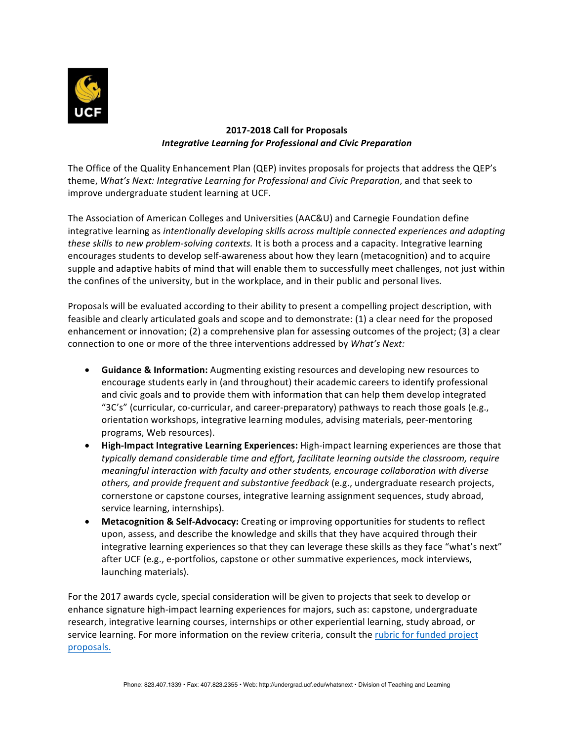

# **2017-2018 Call for Proposals** *Integrative Learning for Professional and Civic Preparation*

The Office of the Quality Enhancement Plan (QEP) invites proposals for projects that address the QEP's theme, *What's Next: Integrative Learning for Professional and Civic Preparation*, and that seek to improve undergraduate student learning at UCF.

The Association of American Colleges and Universities (AAC&U) and Carnegie Foundation define integrative learning as *intentionally developing skills across multiple connected experiences and adapting these skills to new problem-solving contexts.* It is both a process and a capacity. Integrative learning encourages students to develop self-awareness about how they learn (metacognition) and to acquire supple and adaptive habits of mind that will enable them to successfully meet challenges, not just within the confines of the university, but in the workplace, and in their public and personal lives.

Proposals will be evaluated according to their ability to present a compelling project description, with feasible and clearly articulated goals and scope and to demonstrate: (1) a clear need for the proposed enhancement or innovation; (2) a comprehensive plan for assessing outcomes of the project; (3) a clear connection to one or more of the three interventions addressed by *What's Next:* 

- Guidance & Information: Augmenting existing resources and developing new resources to encourage students early in (and throughout) their academic careers to identify professional and civic goals and to provide them with information that can help them develop integrated "3C's" (curricular, co-curricular, and career-preparatory) pathways to reach those goals (e.g., orientation workshops, integrative learning modules, advising materials, peer-mentoring programs, Web resources).
- High-Impact Integrative Learning Experiences: High-impact learning experiences are those that typically demand considerable time and effort, facilitate learning outside the classroom, require *meaningful interaction with faculty and other students, encourage collaboration with diverse* others, and provide frequent and substantive feedback (e.g., undergraduate research projects, cornerstone or capstone courses, integrative learning assignment sequences, study abroad, service learning, internships).
- **Metacognition & Self-Advocacy:** Creating or improving opportunities for students to reflect upon, assess, and describe the knowledge and skills that they have acquired through their integrative learning experiences so that they can leverage these skills as they face "what's next" after UCF (e.g., e-portfolios, capstone or other summative experiences, mock interviews, launching materials).

For the 2017 awards cycle, special consideration will be given to projects that seek to develop or enhance signature high-impact learning experiences for majors, such as: capstone, undergraduate research, integrative learning courses, internships or other experiential learning, study abroad, or service learning. For more information on the review criteria, consult the rubric for funded project proposals.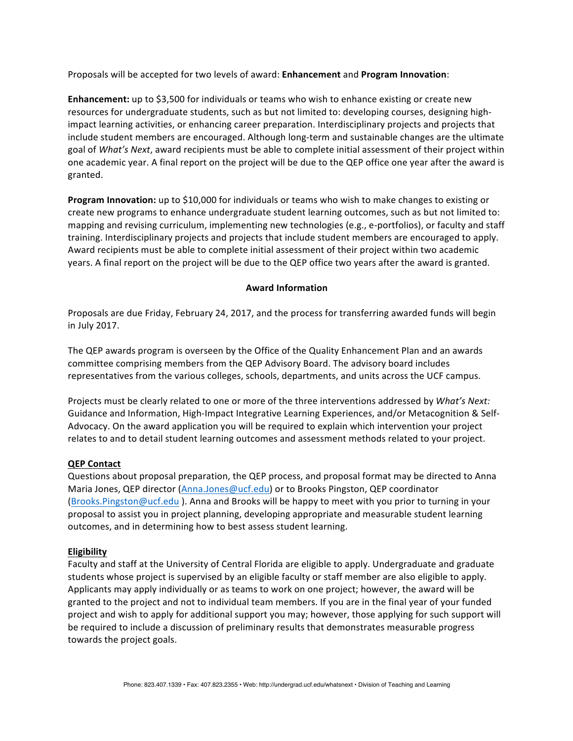Proposals will be accepted for two levels of award: **Enhancement** and **Program Innovation**:

**Enhancement:** up to \$3,500 for individuals or teams who wish to enhance existing or create new resources for undergraduate students, such as but not limited to: developing courses, designing highimpact learning activities, or enhancing career preparation. Interdisciplinary projects and projects that include student members are encouraged. Although long-term and sustainable changes are the ultimate goal of *What's* Next, award recipients must be able to complete initial assessment of their project within one academic year. A final report on the project will be due to the QEP office one year after the award is granted.

**Program Innovation:** up to \$10,000 for individuals or teams who wish to make changes to existing or create new programs to enhance undergraduate student learning outcomes, such as but not limited to: mapping and revising curriculum, implementing new technologies (e.g., e-portfolios), or faculty and staff training. Interdisciplinary projects and projects that include student members are encouraged to apply. Award recipients must be able to complete initial assessment of their project within two academic years. A final report on the project will be due to the QEP office two years after the award is granted.

## **Award Information**

Proposals are due Friday, February 24, 2017, and the process for transferring awarded funds will begin in July 2017.

The QEP awards program is overseen by the Office of the Quality Enhancement Plan and an awards committee comprising members from the QEP Advisory Board. The advisory board includes representatives from the various colleges, schools, departments, and units across the UCF campus.

Projects must be clearly related to one or more of the three interventions addressed by What's Next: Guidance and Information, High-Impact Integrative Learning Experiences, and/or Metacognition & Self-Advocacy. On the award application you will be required to explain which intervention your project relates to and to detail student learning outcomes and assessment methods related to your project.

### **QEP Contact**

Questions about proposal preparation, the QEP process, and proposal format may be directed to Anna Maria Jones, QEP director (Anna.Jones@ucf.edu) or to Brooks Pingston, QEP coordinator (Brooks.Pingston@ucf.edu). Anna and Brooks will be happy to meet with you prior to turning in your proposal to assist you in project planning, developing appropriate and measurable student learning outcomes, and in determining how to best assess student learning.

### **Eligibility**

Faculty and staff at the University of Central Florida are eligible to apply. Undergraduate and graduate students whose project is supervised by an eligible faculty or staff member are also eligible to apply. Applicants may apply individually or as teams to work on one project; however, the award will be granted to the project and not to individual team members. If you are in the final year of your funded project and wish to apply for additional support you may; however, those applying for such support will be required to include a discussion of preliminary results that demonstrates measurable progress towards the project goals.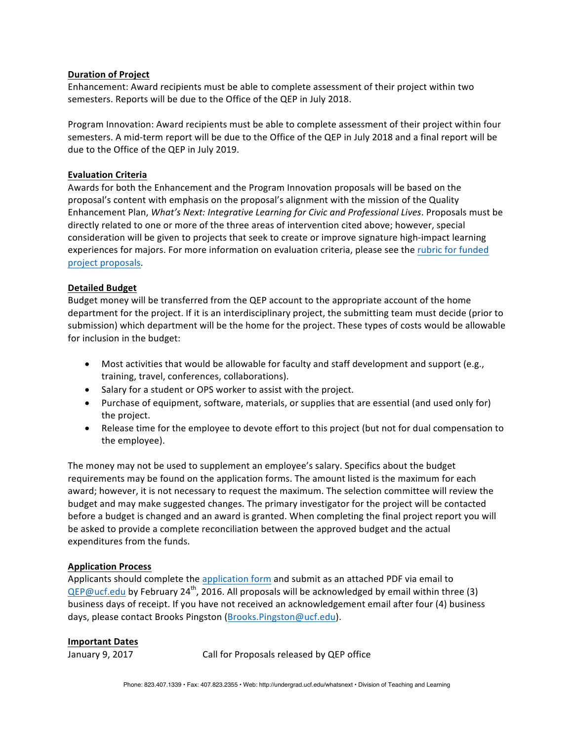### **Duration of Project**

Enhancement: Award recipients must be able to complete assessment of their project within two semesters. Reports will be due to the Office of the QEP in July 2018.

Program Innovation: Award recipients must be able to complete assessment of their project within four semesters. A mid-term report will be due to the Office of the QEP in July 2018 and a final report will be due to the Office of the QEP in July 2019.

## **Evaluation Criteria**

Awards for both the Enhancement and the Program Innovation proposals will be based on the proposal's content with emphasis on the proposal's alignment with the mission of the Quality Enhancement Plan, *What's Next: Integrative Learning for Civic and Professional Lives*. Proposals must be directly related to one or more of the three areas of intervention cited above; however, special consideration will be given to projects that seek to create or improve signature high-impact learning experiences for majors. For more information on evaluation criteria, please see the rubric for funded project proposals.

## **Detailed Budget**

Budget money will be transferred from the QEP account to the appropriate account of the home department for the project. If it is an interdisciplinary project, the submitting team must decide (prior to submission) which department will be the home for the project. These types of costs would be allowable for inclusion in the budget:

- Most activities that would be allowable for faculty and staff development and support (e.g., training, travel, conferences, collaborations).
- Salary for a student or OPS worker to assist with the project.
- Purchase of equipment, software, materials, or supplies that are essential (and used only for) the project.
- Release time for the employee to devote effort to this project (but not for dual compensation to the employee).

The money may not be used to supplement an employee's salary. Specifics about the budget requirements may be found on the application forms. The amount listed is the maximum for each award; however, it is not necessary to request the maximum. The selection committee will review the budget and may make suggested changes. The primary investigator for the project will be contacted before a budget is changed and an award is granted. When completing the final project report you will be asked to provide a complete reconciliation between the approved budget and the actual expenditures from the funds.

## **Application Process**

Applicants should complete the application form and submit as an attached PDF via email to  $QEP@ucf.edu$  by February 24<sup>th</sup>, 2016. All proposals will be acknowledged by email within three (3) business days of receipt. If you have not received an acknowledgement email after four (4) business days, please contact Brooks Pingston (Brooks.Pingston@ucf.edu).

### **Important Dates**

January 9, 2017 Call for Proposals released by QEP office